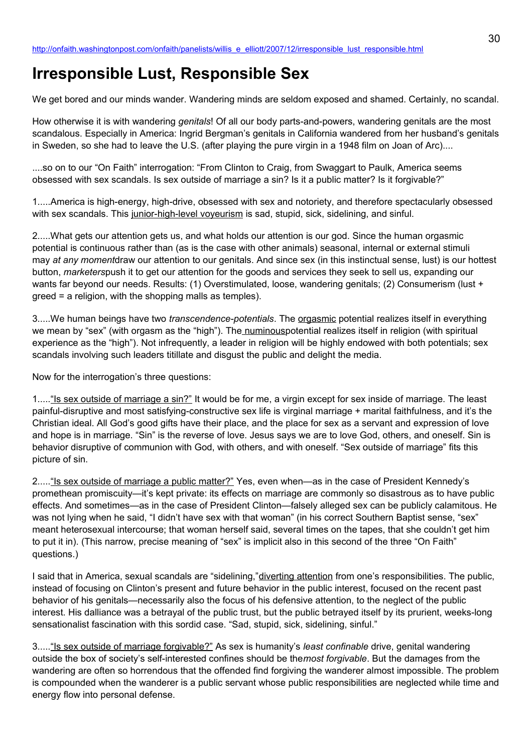# **Irresponsible Lust, Responsible Sex**

We get bored and our minds wander. Wandering minds are seldom exposed and shamed. Certainly, no scandal.

How otherwise it is with wandering *genitals*! Of all our body parts-and-powers, wandering genitals are the most scandalous. Especially in America: Ingrid Bergman's genitals in California wandered from her husband's genitals in Sweden, so she had to leave the U.S. (after playing the pure virgin in a 1948 film on Joan of Arc)....

....so on to our "On Faith" interrogation: "From Clinton to Craig, from Swaggart to Paulk, America seems obsessed with sex scandals. Is sex outside of marriage a sin? Is it a public matter? Is it forgivable?"

1.....America is high-energy, high-drive, obsessed with sex and notoriety, and therefore spectacularly obsessed with sex scandals. This junior-high-level voyeurism is sad, stupid, sick, sidelining, and sinful.

2.....What gets our attention gets us, and what holds our attention is our god. Since the human orgasmic potential is continuous rather than (as is the case with other animals) seasonal, internal or external stimuli may *at any moment*draw our attention to our genitals. And since sex (in this instinctual sense, lust) is our hottest button, *marketers*push it to get our attention for the goods and services they seek to sell us, expanding our wants far beyond our needs. Results: (1) Overstimulated, loose, wandering genitals; (2) Consumerism (lust + greed = a religion, with the shopping malls as temples).

3.....We human beings have two *transcendence-potentials*. The orgasmic potential realizes itself in everything we mean by "sex" (with orgasm as the "high"). The numinouspotential realizes itself in religion (with spiritual experience as the "high"). Not infrequently, a leader in religion will be highly endowed with both potentials; sex scandals involving such leaders titillate and disgust the public and delight the media.

Now for the interrogation's three questions:

1.....<u>"Is sex outside of marriage a sin?"</u> It would be for me, a virgin except for sex inside of marriage. The least painful-disruptive and most satisfying-constructive sex life is virginal marriage + marital faithfulness, and it's the Christian ideal. All God's good gifts have their place, and the place for sex as a servant and expression of love and hope is in marriage. "Sin" is the reverse of love. Jesus says we are to love God, others, and oneself. Sin is behavior disruptive of communion with God, with others, and with oneself. "Sex outside of marriage" fits this picture of sin.

2....."Is sex outside of marriage a public matter?" Yes, even when—as in the case of President Kennedy's promethean promiscuity—it's kept private: its effects on marriage are commonly so disastrous as to have public effects. And sometimes—as in the case of President Clinton—falsely alleged sex can be publicly calamitous. He was not lying when he said, "I didn't have sex with that woman" (in his correct Southern Baptist sense, "sex" meant heterosexual intercourse; that woman herself said, several times on the tapes, that she couldn't get him to put it in). (This narrow, precise meaning of "sex" is implicit also in this second of the three "On Faith" questions.)

I said that in America, sexual scandals are "sidelining,"diverting attention from one's responsibilities. The public, instead of focusing on Clinton's present and future behavior in the public interest, focused on the recent past behavior of his genitals—necessarily also the focus of his defensive attention, to the neglect of the public interest. His dalliance was a betrayal of the public trust, but the public betrayed itself by its prurient, weeks-long sensationalist fascination with this sordid case. "Sad, stupid, sick, sidelining, sinful."

3....."Is sex outside of marriage forgivable?" As sex is humanity's *least confinable* drive, genital wandering outside the box of society's self-interested confines should be the*most forgivable*. But the damages from the wandering are often so horrendous that the offended find forgiving the wanderer almost impossible. The problem is compounded when the wanderer is a public servant whose public responsibilities are neglected while time and energy flow into personal defense.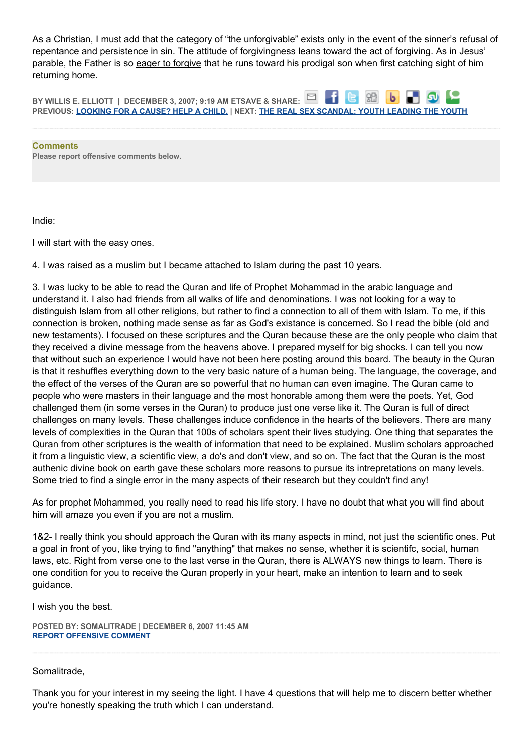As a Christian, I must add that the category of "the unforgivable" exists only in the event of the sinner's refusal of repentance and persistence in sin. The attitude of forgivingness leans toward the act of forgiving. As in Jesus' parable, the Father is so eager to forgive that he runs toward his prodigal son when first catching sight of him returning home.

 $\Box$ 86 **BY WILLIS E. ELLIOTT | DECEMBER 3, 2007; 9:19 AM ETSAVE & SHARE:** ы **PREVIOUS: [LOOKING FOR A CAUSE? HELP A CHILD.](http://onfaith.washingtonpost.com/onfaith/panelists/sally_quinn/2007/12/saving_the_world_a_child_at_a.html) | NEXT: [THE REAL SEX SCANDAL: YOUTH LEADING THE YOUTH](http://onfaith.washingtonpost.com/onfaith/panelists/donna_freitas/2007/12/the_real_sex_scandal_the_youth.html)**

**Comments Please report offensive comments below.**

Indie:

I will start with the easy ones.

4. I was raised as a muslim but I became attached to Islam during the past 10 years.

3. I was lucky to be able to read the Quran and life of Prophet Mohammad in the arabic language and understand it. I also had friends from all walks of life and denominations. I was not looking for a way to distinguish Islam from all other religions, but rather to find a connection to all of them with Islam. To me, if this connection is broken, nothing made sense as far as God's existance is concerned. So I read the bible (old and new testaments). I focused on these scriptures and the Quran because these are the only people who claim that they received a divine message from the heavens above. I prepared myself for big shocks. I can tell you now that without such an experience I would have not been here posting around this board. The beauty in the Quran is that it reshuffles everything down to the very basic nature of a human being. The language, the coverage, and the effect of the verses of the Quran are so powerful that no human can even imagine. The Quran came to people who were masters in their language and the most honorable among them were the poets. Yet, God challenged them (in some verses in the Quran) to produce just one verse like it. The Quran is full of direct challenges on many levels. These challenges induce confidence in the hearts of the believers. There are many levels of complexities in the Quran that 100s of scholars spent their lives studying. One thing that separates the Quran from other scriptures is the wealth of information that need to be explained. Muslim scholars approached it from a linguistic view, a scientific view, a do's and don't view, and so on. The fact that the Quran is the most authenic divine book on earth gave these scholars more reasons to pursue its intrepretations on many levels. Some tried to find a single error in the many aspects of their research but they couldn't find any!

As for prophet Mohammed, you really need to read his life story. I have no doubt that what you will find about him will amaze you even if you are not a muslim.

1&2- I really think you should approach the Quran with its many aspects in mind, not just the scientific ones. Put a goal in front of you, like trying to find "anything" that makes no sense, whether it is scientifc, social, human laws, etc. Right from verse one to the last verse in the Quran, there is ALWAYS new things to learn. There is one condition for you to receive the Quran properly in your heart, make an intention to learn and to seek guidance.

I wish you the best.

**POSTED BY: SOMALITRADE | DECEMBER 6, 2007 11:45 AM [REPORT OFFENSIVE COMMENT](mailto:blogs@washingtonpost.com?subject=On%20Faith%20Panelists%20Blog%20%20%7C%20%20somalitrade%20%20%7C%20%20Irresponsible%20Lust,%20Responsible%20Sex%20%20%7C%20%201843199&body=%0D%0D%0D%0D%0D================%0D?__mode=view%26_type=comment%26id=1843199%26blog_id=618)**

# Somalitrade,

Thank you for your interest in my seeing the light. I have 4 questions that will help me to discern better whether you're honestly speaking the truth which I can understand.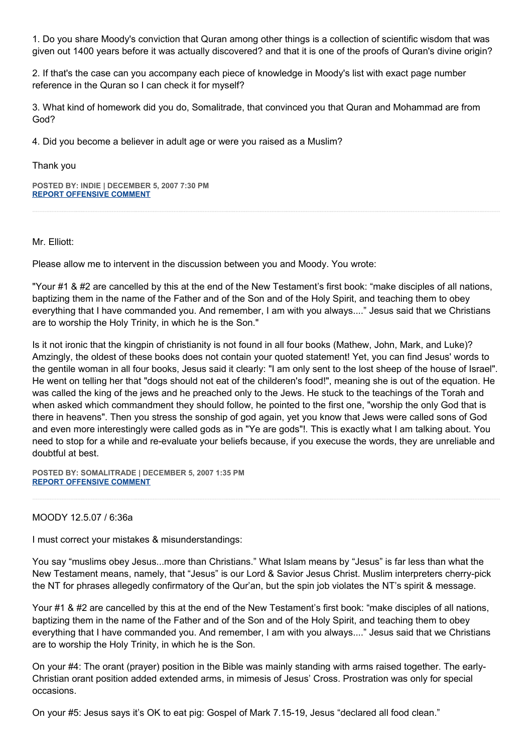1. Do you share Moody's conviction that Quran among other things is a collection of scientific wisdom that was given out 1400 years before it was actually discovered? and that it is one of the proofs of Quran's divine origin?

2. If that's the case can you accompany each piece of knowledge in Moody's list with exact page number reference in the Quran so I can check it for myself?

3. What kind of homework did you do, Somalitrade, that convinced you that Quran and Mohammad are from God?

4. Did you become a believer in adult age or were you raised as a Muslim?

Thank you

**POSTED BY: INDIE | DECEMBER 5, 2007 7:30 PM [REPORT OFFENSIVE COMMENT](mailto:blogs@washingtonpost.com?subject=On%20Faith%20Panelists%20Blog%20%20%7C%20%20Indie%20%20%7C%20%20Irresponsible%20Lust,%20Responsible%20Sex%20%20%7C%20%201839717&body=%0D%0D%0D%0D%0D================%0D?__mode=view%26_type=comment%26id=1839717%26blog_id=618)**

Mr. Elliott:

Please allow me to intervent in the discussion between you and Moody. You wrote:

"Your #1 & #2 are cancelled by this at the end of the New Testament's first book: "make disciples of all nations, baptizing them in the name of the Father and of the Son and of the Holy Spirit, and teaching them to obey everything that I have commanded you. And remember, I am with you always...." Jesus said that we Christians are to worship the Holy Trinity, in which he is the Son."

Is it not ironic that the kingpin of christianity is not found in all four books (Mathew, John, Mark, and Luke)? Amzingly, the oldest of these books does not contain your quoted statement! Yet, you can find Jesus' words to the gentile woman in all four books, Jesus said it clearly: "I am only sent to the lost sheep of the house of Israel". He went on telling her that "dogs should not eat of the childeren's food!", meaning she is out of the equation. He was called the king of the jews and he preached only to the Jews. He stuck to the teachings of the Torah and when asked which commandment they should follow, he pointed to the first one, "worship the only God that is there in heavens". Then you stress the sonship of god again, yet you know that Jews were called sons of God and even more interestingly were called gods as in "Ye are gods"!. This is exactly what I am talking about. You need to stop for a while and re-evaluate your beliefs because, if you execuse the words, they are unreliable and doubtful at best.

**POSTED BY: SOMALITRADE | DECEMBER 5, 2007 1:35 PM [REPORT OFFENSIVE COMMENT](mailto:blogs@washingtonpost.com?subject=On%20Faith%20Panelists%20Blog%20%20%7C%20%20somalitrade%20%20%7C%20%20Irresponsible%20Lust,%20Responsible%20Sex%20%20%7C%20%201838242&body=%0D%0D%0D%0D%0D================%0D?__mode=view%26_type=comment%26id=1838242%26blog_id=618)**

# MOODY 12.5.07 / 6:36a

I must correct your mistakes & misunderstandings:

You say "muslims obey Jesus...more than Christians." What Islam means by "Jesus" is far less than what the New Testament means, namely, that "Jesus" is our Lord & Savior Jesus Christ. Muslim interpreters cherry-pick the NT for phrases allegedly confirmatory of the Qur'an, but the spin job violates the NT's spirit & message.

Your #1 & #2 are cancelled by this at the end of the New Testament's first book: "make disciples of all nations, baptizing them in the name of the Father and of the Son and of the Holy Spirit, and teaching them to obey everything that I have commanded you. And remember, I am with you always...." Jesus said that we Christians are to worship the Holy Trinity, in which he is the Son.

On your #4: The orant (prayer) position in the Bible was mainly standing with arms raised together. The early-Christian orant position added extended arms, in mimesis of Jesus' Cross. Prostration was only for special occasions.

On your #5: Jesus says it's OK to eat pig: Gospel of Mark 7.15-19, Jesus "declared all food clean."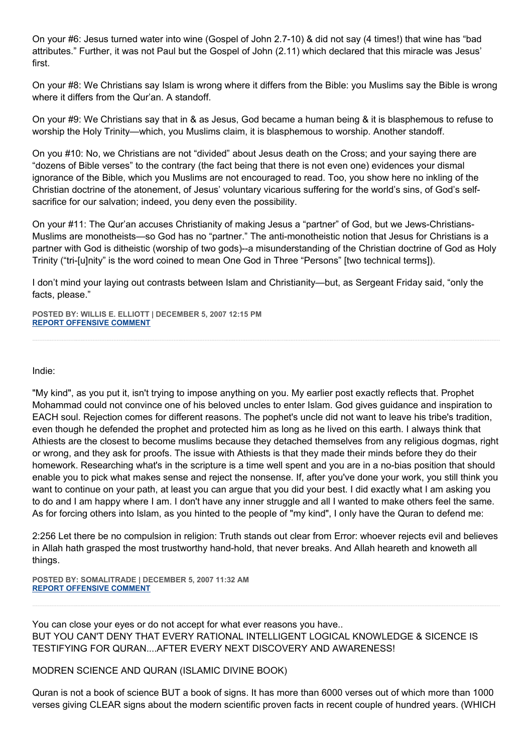On your #6: Jesus turned water into wine (Gospel of John 2.7-10) & did not say (4 times!) that wine has "bad attributes." Further, it was not Paul but the Gospel of John (2.11) which declared that this miracle was Jesus' first.

On your #8: We Christians say Islam is wrong where it differs from the Bible: you Muslims say the Bible is wrong where it differs from the Qur'an. A standoff.

On your #9: We Christians say that in & as Jesus, God became a human being & it is blasphemous to refuse to worship the Holy Trinity—which, you Muslims claim, it is blasphemous to worship. Another standoff.

On you #10: No, we Christians are not "divided" about Jesus death on the Cross; and your saying there are "dozens of Bible verses" to the contrary (the fact being that there is not even one) evidences your dismal ignorance of the Bible, which you Muslims are not encouraged to read. Too, you show here no inkling of the Christian doctrine of the atonement, of Jesus' voluntary vicarious suffering for the world's sins, of God's selfsacrifice for our salvation; indeed, you deny even the possibility.

On your #11: The Qur'an accuses Christianity of making Jesus a "partner" of God, but we Jews-Christians-Muslims are monotheists—so God has no "partner." The anti-monotheistic notion that Jesus for Christians is a partner with God is ditheistic (worship of two gods)--a misunderstanding of the Christian doctrine of God as Holy Trinity ("tri-[u]nity" is the word coined to mean One God in Three "Persons" [two technical terms]).

I don't mind your laying out contrasts between Islam and Christianity—but, as Sergeant Friday said, "only the facts, please."

**POSTED BY: WILLIS E. ELLIOTT | DECEMBER 5, 2007 12:15 PM [REPORT OFFENSIVE COMMENT](mailto:blogs@washingtonpost.com?subject=On%20Faith%20Panelists%20Blog%20%20%7C%20%20Willis%20E.%20Elliott%20%20%7C%20%20Irresponsible%20Lust,%20Responsible%20Sex%20%20%7C%20%201837925&body=%0D%0D%0D%0D%0D================%0D?__mode=view%26_type=comment%26id=1837925%26blog_id=618)**

Indie:

"My kind", as you put it, isn't trying to impose anything on you. My earlier post exactly reflects that. Prophet Mohammad could not convince one of his beloved uncles to enter Islam. God gives guidance and inspiration to EACH soul. Rejection comes for different reasons. The pophet's uncle did not want to leave his tribe's tradition, even though he defended the prophet and protected him as long as he lived on this earth. I always think that Athiests are the closest to become muslims because they detached themselves from any religious dogmas, right or wrong, and they ask for proofs. The issue with Athiests is that they made their minds before they do their homework. Researching what's in the scripture is a time well spent and you are in a no-bias position that should enable you to pick what makes sense and reject the nonsense. If, after you've done your work, you still think you want to continue on your path, at least you can argue that you did your best. I did exactly what I am asking you to do and I am happy where I am. I don't have any inner struggle and all I wanted to make others feel the same. As for forcing others into Islam, as you hinted to the people of "my kind", I only have the Quran to defend me:

2:256 Let there be no compulsion in religion: Truth stands out clear from Error: whoever rejects evil and believes in Allah hath grasped the most trustworthy hand-hold, that never breaks. And Allah heareth and knoweth all things.

**POSTED BY: SOMALITRADE | DECEMBER 5, 2007 11:32 AM [REPORT OFFENSIVE COMMENT](mailto:blogs@washingtonpost.com?subject=On%20Faith%20Panelists%20Blog%20%20%7C%20%20somalitrade%20%20%7C%20%20Irresponsible%20Lust,%20Responsible%20Sex%20%20%7C%20%201837789&body=%0D%0D%0D%0D%0D================%0D?__mode=view%26_type=comment%26id=1837789%26blog_id=618)**

You can close your eyes or do not accept for what ever reasons you have.. BUT YOU CAN'T DENY THAT EVERY RATIONAL INTELLIGENT LOGICAL KNOWLEDGE & SICENCE IS TESTIFYING FOR QURAN....AFTER EVERY NEXT DISCOVERY AND AWARENESS!

MODREN SCIENCE AND QURAN (ISLAMIC DIVINE BOOK)

Quran is not a book of science BUT a book of signs. It has more than 6000 verses out of which more than 1000 verses giving CLEAR signs about the modern scientific proven facts in recent couple of hundred years. (WHICH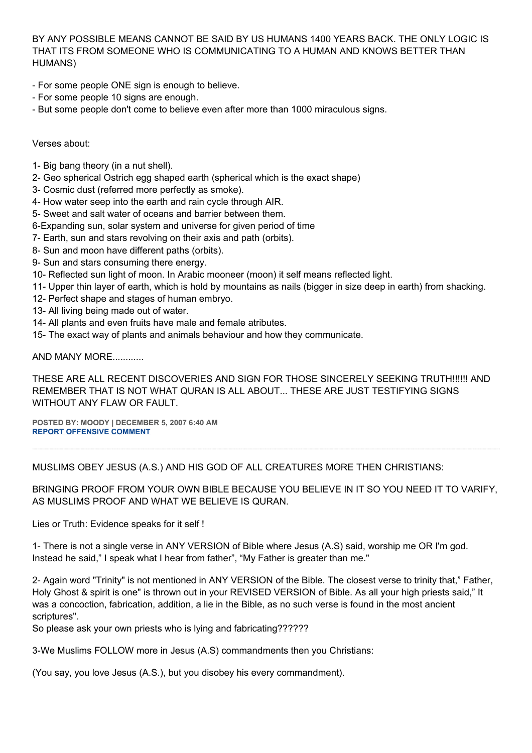BY ANY POSSIBLE MEANS CANNOT BE SAID BY US HUMANS 1400 YEARS BACK. THE ONLY LOGIC IS THAT ITS FROM SOMEONE WHO IS COMMUNICATING TO A HUMAN AND KNOWS BETTER THAN HUMANS)

- For some people ONE sign is enough to believe.
- For some people 10 signs are enough.
- But some people don't come to believe even after more than 1000 miraculous signs.

# Verses about:

- 1- Big bang theory (in a nut shell).
- 2- Geo spherical Ostrich egg shaped earth (spherical which is the exact shape)
- 3- Cosmic dust (referred more perfectly as smoke).
- 4- How water seep into the earth and rain cycle through AIR.
- 5- Sweet and salt water of oceans and barrier between them.
- 6-Expanding sun, solar system and universe for given period of time
- 7- Earth, sun and stars revolving on their axis and path (orbits).
- 8- Sun and moon have different paths (orbits).
- 9- Sun and stars consuming there energy.
- 10- Reflected sun light of moon. In Arabic mooneer (moon) it self means reflected light.
- 11- Upper thin layer of earth, which is hold by mountains as nails (bigger in size deep in earth) from shacking.
- 12- Perfect shape and stages of human embryo.
- 13- All living being made out of water.
- 14- All plants and even fruits have male and female atributes.
- 15- The exact way of plants and animals behaviour and how they communicate.

AND MANY MORE............

THESE ARE ALL RECENT DISCOVERIES AND SIGN FOR THOSE SINCERELY SEEKING TRUTH!!!!!! AND REMEMBER THAT IS NOT WHAT QURAN IS ALL ABOUT... THESE ARE JUST TESTIFYING SIGNS WITHOUT ANY FLAW OR FAULT.

**POSTED BY: MOODY | DECEMBER 5, 2007 6:40 AM [REPORT OFFENSIVE COMMENT](mailto:blogs@washingtonpost.com?subject=On%20Faith%20Panelists%20Blog%20%20%7C%20%20Moody%20%20%7C%20%20Irresponsible%20Lust,%20Responsible%20Sex%20%20%7C%20%201836795&body=%0D%0D%0D%0D%0D================%0D?__mode=view%26_type=comment%26id=1836795%26blog_id=618)**

MUSLIMS OBEY JESUS (A.S.) AND HIS GOD OF ALL CREATURES MORE THEN CHRISTIANS:

BRINGING PROOF FROM YOUR OWN BIBLE BECAUSE YOU BELIEVE IN IT SO YOU NEED IT TO VARIFY, AS MUSLIMS PROOF AND WHAT WE BELIEVE IS QURAN.

Lies or Truth: Evidence speaks for it self !

1- There is not a single verse in ANY VERSION of Bible where Jesus (A.S) said, worship me OR I'm god. Instead he said," I speak what I hear from father", "My Father is greater than me."

2- Again word "Trinity" is not mentioned in ANY VERSION of the Bible. The closest verse to trinity that," Father, Holy Ghost & spirit is one" is thrown out in your REVISED VERSION of Bible. As all your high priests said," It was a concoction, fabrication, addition, a lie in the Bible, as no such verse is found in the most ancient scriptures".

So please ask your own priests who is lying and fabricating??????

3-We Muslims FOLLOW more in Jesus (A.S) commandments then you Christians:

(You say, you love Jesus (A.S.), but you disobey his every commandment).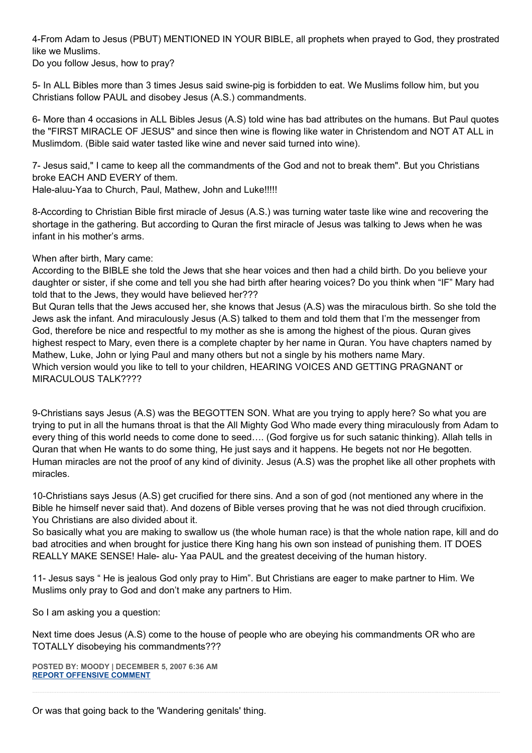4-From Adam to Jesus (PBUT) MENTIONED IN YOUR BIBLE, all prophets when prayed to God, they prostrated like we Muslims.

Do you follow Jesus, how to pray?

5- In ALL Bibles more than 3 times Jesus said swine-pig is forbidden to eat. We Muslims follow him, but you Christians follow PAUL and disobey Jesus (A.S.) commandments.

6- More than 4 occasions in ALL Bibles Jesus (A.S) told wine has bad attributes on the humans. But Paul quotes the "FIRST MIRACLE OF JESUS" and since then wine is flowing like water in Christendom and NOT AT ALL in Muslimdom. (Bible said water tasted like wine and never said turned into wine).

7- Jesus said," I came to keep all the commandments of the God and not to break them". But you Christians broke EACH AND EVERY of them.

Hale-aluu-Yaa to Church, Paul, Mathew, John and Luke!!!!!

8-According to Christian Bible first miracle of Jesus (A.S.) was turning water taste like wine and recovering the shortage in the gathering. But according to Quran the first miracle of Jesus was talking to Jews when he was infant in his mother's arms.

# When after birth, Mary came:

According to the BIBLE she told the Jews that she hear voices and then had a child birth. Do you believe your daughter or sister, if she come and tell you she had birth after hearing voices? Do you think when "IF" Mary had told that to the Jews, they would have believed her???

But Quran tells that the Jews accused her, she knows that Jesus (A.S) was the miraculous birth. So she told the Jews ask the infant. And miraculously Jesus (A.S) talked to them and told them that I'm the messenger from God, therefore be nice and respectful to my mother as she is among the highest of the pious. Quran gives highest respect to Mary, even there is a complete chapter by her name in Quran. You have chapters named by Mathew, Luke, John or lying Paul and many others but not a single by his mothers name Mary. Which version would you like to tell to your children, HEARING VOICES AND GETTING PRAGNANT or MIRACULOUS TALK????

9-Christians says Jesus (A.S) was the BEGOTTEN SON. What are you trying to apply here? So what you are trying to put in all the humans throat is that the All Mighty God Who made every thing miraculously from Adam to every thing of this world needs to come done to seed…. (God forgive us for such satanic thinking). Allah tells in Quran that when He wants to do some thing, He just says and it happens. He begets not nor He begotten. Human miracles are not the proof of any kind of divinity. Jesus (A.S) was the prophet like all other prophets with miracles.

10-Christians says Jesus (A.S) get crucified for there sins. And a son of god (not mentioned any where in the Bible he himself never said that). And dozens of Bible verses proving that he was not died through crucifixion. You Christians are also divided about it.

So basically what you are making to swallow us (the whole human race) is that the whole nation rape, kill and do bad atrocities and when brought for justice there King hang his own son instead of punishing them. IT DOES REALLY MAKE SENSE! Hale- alu- Yaa PAUL and the greatest deceiving of the human history.

11- Jesus says " He is jealous God only pray to Him". But Christians are eager to make partner to Him. We Muslims only pray to God and don't make any partners to Him.

So I am asking you a question:

Next time does Jesus (A.S) come to the house of people who are obeying his commandments OR who are TOTALLY disobeying his commandments???

**POSTED BY: MOODY | DECEMBER 5, 2007 6:36 AM [REPORT OFFENSIVE COMMENT](mailto:blogs@washingtonpost.com?subject=On%20Faith%20Panelists%20Blog%20%20%7C%20%20Moody%20%20%7C%20%20Irresponsible%20Lust,%20Responsible%20Sex%20%20%7C%20%201836789&body=%0D%0D%0D%0D%0D================%0D?__mode=view%26_type=comment%26id=1836789%26blog_id=618)**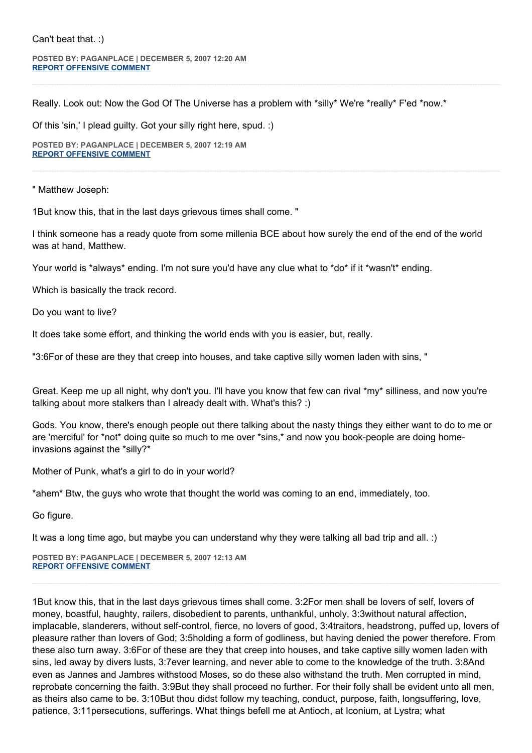#### Can't beat that. :)

**POSTED BY: PAGANPLACE | DECEMBER 5, 2007 12:20 AM [REPORT OFFENSIVE COMMENT](mailto:blogs@washingtonpost.com?subject=On%20Faith%20Panelists%20Blog%20%20%7C%20%20Paganplace%20%20%7C%20%20Irresponsible%20Lust,%20Responsible%20Sex%20%20%7C%20%201835779&body=%0D%0D%0D%0D%0D================%0D?__mode=view%26_type=comment%26id=1835779%26blog_id=618)**

Really. Look out: Now the God Of The Universe has a problem with \*silly\* We're \*really\* F'ed \*now.\*

Of this 'sin,' I plead guilty. Got your silly right here, spud. :)

**POSTED BY: PAGANPLACE | DECEMBER 5, 2007 12:19 AM [REPORT OFFENSIVE COMMENT](mailto:blogs@washingtonpost.com?subject=On%20Faith%20Panelists%20Blog%20%20%7C%20%20Paganplace%20%20%7C%20%20Irresponsible%20Lust,%20Responsible%20Sex%20%20%7C%20%201835775&body=%0D%0D%0D%0D%0D================%0D?__mode=view%26_type=comment%26id=1835775%26blog_id=618)**

" Matthew Joseph:

1But know this, that in the last days grievous times shall come. "

I think someone has a ready quote from some millenia BCE about how surely the end of the end of the world was at hand, Matthew.

Your world is \*always\* ending. I'm not sure you'd have any clue what to \*do\* if it \*wasn't\* ending.

Which is basically the track record.

Do you want to live?

It does take some effort, and thinking the world ends with you is easier, but, really.

"3:6For of these are they that creep into houses, and take captive silly women laden with sins, "

Great. Keep me up all night, why don't you. I'll have you know that few can rival \*my\* silliness, and now you're talking about more stalkers than I already dealt with. What's this? :)

Gods. You know, there's enough people out there talking about the nasty things they either want to do to me or are 'merciful' for \*not\* doing quite so much to me over \*sins,\* and now you book-people are doing homeinvasions against the \*silly?\*

Mother of Punk, what's a girl to do in your world?

\*ahem\* Btw, the guys who wrote that thought the world was coming to an end, immediately, too.

Go figure.

It was a long time ago, but maybe you can understand why they were talking all bad trip and all. :)

**POSTED BY: PAGANPLACE | DECEMBER 5, 2007 12:13 AM [REPORT OFFENSIVE COMMENT](mailto:blogs@washingtonpost.com?subject=On%20Faith%20Panelists%20Blog%20%20%7C%20%20Paganplace%20%20%7C%20%20Irresponsible%20Lust,%20Responsible%20Sex%20%20%7C%20%201835768&body=%0D%0D%0D%0D%0D================%0D?__mode=view%26_type=comment%26id=1835768%26blog_id=618)**

1But know this, that in the last days grievous times shall come. 3:2For men shall be lovers of self, lovers of money, boastful, haughty, railers, disobedient to parents, unthankful, unholy, 3:3without natural affection, implacable, slanderers, without self-control, fierce, no lovers of good, 3:4traitors, headstrong, puffed up, lovers of pleasure rather than lovers of God; 3:5holding a form of godliness, but having denied the power therefore. From these also turn away. 3:6For of these are they that creep into houses, and take captive silly women laden with sins, led away by divers lusts, 3:7ever learning, and never able to come to the knowledge of the truth. 3:8And even as Jannes and Jambres withstood Moses, so do these also withstand the truth. Men corrupted in mind, reprobate concerning the faith. 3:9But they shall proceed no further. For their folly shall be evident unto all men, as theirs also came to be. 3:10But thou didst follow my teaching, conduct, purpose, faith, longsuffering, love, patience, 3:11persecutions, sufferings. What things befell me at Antioch, at Iconium, at Lystra; what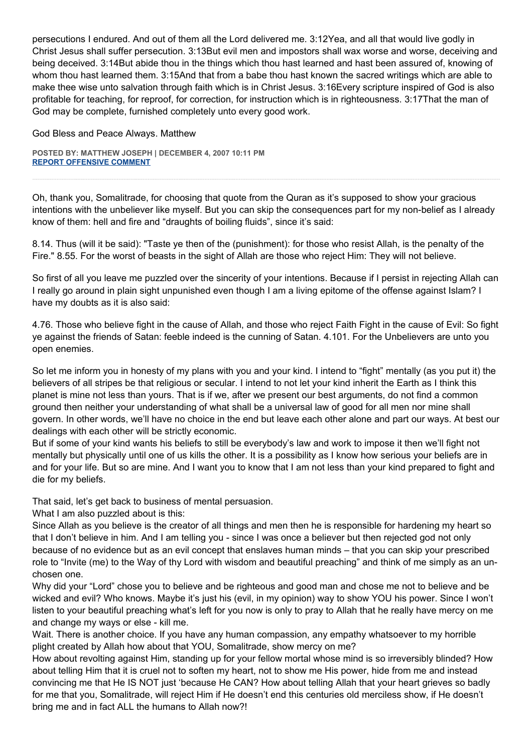persecutions I endured. And out of them all the Lord delivered me. 3:12Yea, and all that would live godly in Christ Jesus shall suffer persecution. 3:13But evil men and impostors shall wax worse and worse, deceiving and being deceived. 3:14But abide thou in the things which thou hast learned and hast been assured of, knowing of whom thou hast learned them. 3:15And that from a babe thou hast known the sacred writings which are able to make thee wise unto salvation through faith which is in Christ Jesus. 3:16Every scripture inspired of God is also profitable for teaching, for reproof, for correction, for instruction which is in righteousness. 3:17That the man of God may be complete, furnished completely unto every good work.

God Bless and Peace Always. Matthew

**POSTED BY: MATTHEW JOSEPH | DECEMBER 4, 2007 10:11 PM [REPORT OFFENSIVE COMMENT](mailto:blogs@washingtonpost.com?subject=On%20Faith%20Panelists%20Blog%20%20%7C%20%20Matthew%20Joseph%20%20%7C%20%20Irresponsible%20Lust,%20Responsible%20Sex%20%20%7C%20%201835441&body=%0D%0D%0D%0D%0D================%0D?__mode=view%26_type=comment%26id=1835441%26blog_id=618)**

Oh, thank you, Somalitrade, for choosing that quote from the Quran as it's supposed to show your gracious intentions with the unbeliever like myself. But you can skip the consequences part for my non-belief as I already know of them: hell and fire and "draughts of boiling fluids", since it's said:

8.14. Thus (will it be said): "Taste ye then of the (punishment): for those who resist Allah, is the penalty of the Fire." 8.55. For the worst of beasts in the sight of Allah are those who reject Him: They will not believe.

So first of all you leave me puzzled over the sincerity of your intentions. Because if I persist in rejecting Allah can I really go around in plain sight unpunished even though I am a living epitome of the offense against Islam? I have my doubts as it is also said:

4.76. Those who believe fight in the cause of Allah, and those who reject Faith Fight in the cause of Evil: So fight ye against the friends of Satan: feeble indeed is the cunning of Satan. 4.101. For the Unbelievers are unto you open enemies.

So let me inform you in honesty of my plans with you and your kind. I intend to "fight" mentally (as you put it) the believers of all stripes be that religious or secular. I intend to not let your kind inherit the Earth as I think this planet is mine not less than yours. That is if we, after we present our best arguments, do not find a common ground then neither your understanding of what shall be a universal law of good for all men nor mine shall govern. In other words, we'll have no choice in the end but leave each other alone and part our ways. At best our dealings with each other will be strictly economic.

But if some of your kind wants his beliefs to still be everybody's law and work to impose it then we'll fight not mentally but physically until one of us kills the other. It is a possibility as I know how serious your beliefs are in and for your life. But so are mine. And I want you to know that I am not less than your kind prepared to fight and die for my beliefs.

That said, let's get back to business of mental persuasion.

What I am also puzzled about is this:

Since Allah as you believe is the creator of all things and men then he is responsible for hardening my heart so that I don't believe in him. And I am telling you - since I was once a believer but then rejected god not only because of no evidence but as an evil concept that enslaves human minds – that you can skip your prescribed role to "Invite (me) to the Way of thy Lord with wisdom and beautiful preaching" and think of me simply as an unchosen one.

Why did your "Lord" chose you to believe and be righteous and good man and chose me not to believe and be wicked and evil? Who knows. Maybe it's just his (evil, in my opinion) way to show YOU his power. Since I won't listen to your beautiful preaching what's left for you now is only to pray to Allah that he really have mercy on me and change my ways or else - kill me.

Wait. There is another choice. If you have any human compassion, any empathy whatsoever to my horrible plight created by Allah how about that YOU, Somalitrade, show mercy on me?

How about revolting against Him, standing up for your fellow mortal whose mind is so irreversibly blinded? How about telling Him that it is cruel not to soften my heart, not to show me His power, hide from me and instead convincing me that He IS NOT just 'because He CAN? How about telling Allah that your heart grieves so badly for me that you, Somalitrade, will reject Him if He doesn't end this centuries old merciless show, if He doesn't bring me and in fact ALL the humans to Allah now?!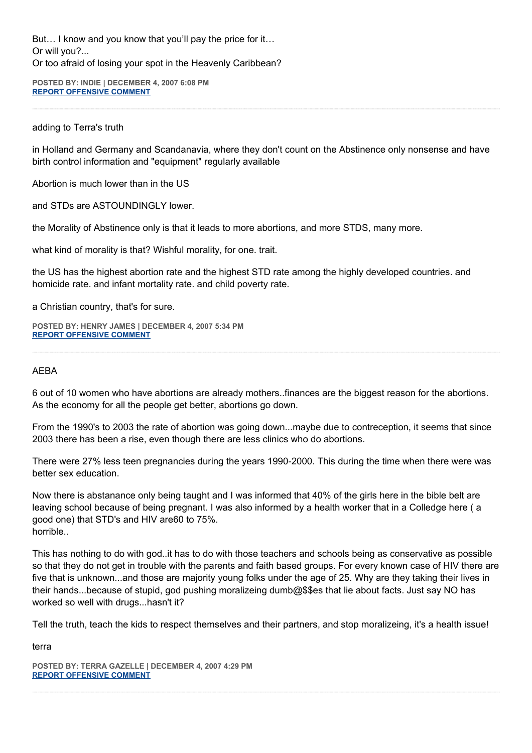But… I know and you know that you'll pay the price for it… Or will you?... Or too afraid of losing your spot in the Heavenly Caribbean?

**POSTED BY: INDIE | DECEMBER 4, 2007 6:08 PM [REPORT OFFENSIVE COMMENT](mailto:blogs@washingtonpost.com?subject=On%20Faith%20Panelists%20Blog%20%20%7C%20%20Indie%20%20%7C%20%20Irresponsible%20Lust,%20Responsible%20Sex%20%20%7C%20%201834676&body=%0D%0D%0D%0D%0D================%0D?__mode=view%26_type=comment%26id=1834676%26blog_id=618)**

# adding to Terra's truth

in Holland and Germany and Scandanavia, where they don't count on the Abstinence only nonsense and have birth control information and "equipment" regularly available

Abortion is much lower than in the US

and STDs are ASTOUNDINGLY lower.

the Morality of Abstinence only is that it leads to more abortions, and more STDS, many more.

what kind of morality is that? Wishful morality, for one. trait.

the US has the highest abortion rate and the highest STD rate among the highly developed countries. and homicide rate. and infant mortality rate. and child poverty rate.

a Christian country, that's for sure.

**POSTED BY: HENRY JAMES | DECEMBER 4, 2007 5:34 PM [REPORT OFFENSIVE COMMENT](mailto:blogs@washingtonpost.com?subject=On%20Faith%20Panelists%20Blog%20%20%7C%20%20Henry%20James%20%20%7C%20%20Irresponsible%20Lust,%20Responsible%20Sex%20%20%7C%20%201834558&body=%0D%0D%0D%0D%0D================%0D?__mode=view%26_type=comment%26id=1834558%26blog_id=618)**

# AEBA

6 out of 10 women who have abortions are already mothers..finances are the biggest reason for the abortions. As the economy for all the people get better, abortions go down.

From the 1990's to 2003 the rate of abortion was going down...maybe due to contreception, it seems that since 2003 there has been a rise, even though there are less clinics who do abortions.

There were 27% less teen pregnancies during the years 1990-2000. This during the time when there were was better sex education.

Now there is abstanance only being taught and I was informed that 40% of the girls here in the bible belt are leaving school because of being pregnant. I was also informed by a health worker that in a Colledge here ( a good one) that STD's and HIV are60 to 75%. horrible..

This has nothing to do with god..it has to do with those teachers and schools being as conservative as possible so that they do not get in trouble with the parents and faith based groups. For every known case of HIV there are five that is unknown...and those are majority young folks under the age of 25. Why are they taking their lives in their hands...because of stupid, god pushing moralizeing dumb@\$\$es that lie about facts. Just say NO has worked so well with drugs...hasn't it?

Tell the truth, teach the kids to respect themselves and their partners, and stop moralizeing, it's a health issue!

terra

**POSTED BY: TERRA GAZELLE | DECEMBER 4, 2007 4:29 PM [REPORT OFFENSIVE COMMENT](mailto:blogs@washingtonpost.com?subject=On%20Faith%20Panelists%20Blog%20%20%7C%20%20Terra%20Gazelle%20%20%7C%20%20Irresponsible%20Lust,%20Responsible%20Sex%20%20%7C%20%201834359&body=%0D%0D%0D%0D%0D================%0D?__mode=view%26_type=comment%26id=1834359%26blog_id=618)**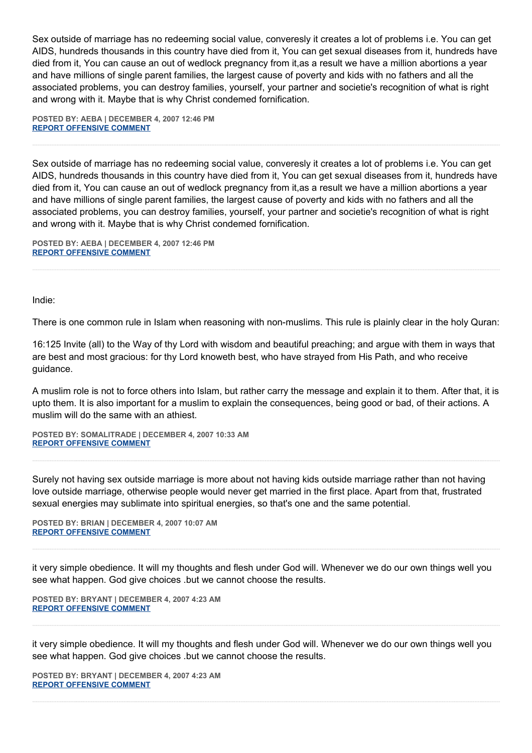Sex outside of marriage has no redeeming social value, converesly it creates a lot of problems i.e. You can get AIDS, hundreds thousands in this country have died from it, You can get sexual diseases from it, hundreds have died from it, You can cause an out of wedlock pregnancy from it,as a result we have a million abortions a year and have millions of single parent families, the largest cause of poverty and kids with no fathers and all the associated problems, you can destroy families, yourself, your partner and societie's recognition of what is right and wrong with it. Maybe that is why Christ condemed fornification.

**POSTED BY: AEBA | DECEMBER 4, 2007 12:46 PM [REPORT OFFENSIVE COMMENT](mailto:blogs@washingtonpost.com?subject=On%20Faith%20Panelists%20Blog%20%20%7C%20%20AEBA%20%20%7C%20%20Irresponsible%20Lust,%20Responsible%20Sex%20%20%7C%20%201833552&body=%0D%0D%0D%0D%0D================%0D?__mode=view%26_type=comment%26id=1833552%26blog_id=618)**

Sex outside of marriage has no redeeming social value, converesly it creates a lot of problems i.e. You can get AIDS, hundreds thousands in this country have died from it, You can get sexual diseases from it, hundreds have died from it, You can cause an out of wedlock pregnancy from it,as a result we have a million abortions a year and have millions of single parent families, the largest cause of poverty and kids with no fathers and all the associated problems, you can destroy families, yourself, your partner and societie's recognition of what is right and wrong with it. Maybe that is why Christ condemed fornification.

**POSTED BY: AEBA | DECEMBER 4, 2007 12:46 PM [REPORT OFFENSIVE COMMENT](mailto:blogs@washingtonpost.com?subject=On%20Faith%20Panelists%20Blog%20%20%7C%20%20AEBA%20%20%7C%20%20Irresponsible%20Lust,%20Responsible%20Sex%20%20%7C%20%201833551&body=%0D%0D%0D%0D%0D================%0D?__mode=view%26_type=comment%26id=1833551%26blog_id=618)**

Indie:

There is one common rule in Islam when reasoning with non-muslims. This rule is plainly clear in the holy Quran:

16:125 Invite (all) to the Way of thy Lord with wisdom and beautiful preaching; and argue with them in ways that are best and most gracious: for thy Lord knoweth best, who have strayed from His Path, and who receive guidance.

A muslim role is not to force others into Islam, but rather carry the message and explain it to them. After that, it is upto them. It is also important for a muslim to explain the consequences, being good or bad, of their actions. A muslim will do the same with an athiest.

**POSTED BY: SOMALITRADE | DECEMBER 4, 2007 10:33 AM [REPORT OFFENSIVE COMMENT](mailto:blogs@washingtonpost.com?subject=On%20Faith%20Panelists%20Blog%20%20%7C%20%20somalitrade%20%20%7C%20%20Irresponsible%20Lust,%20Responsible%20Sex%20%20%7C%20%201833220&body=%0D%0D%0D%0D%0D================%0D?__mode=view%26_type=comment%26id=1833220%26blog_id=618)**

Surely not having sex outside marriage is more about not having kids outside marriage rather than not having love outside marriage, otherwise people would never get married in the first place. Apart from that, frustrated sexual energies may sublimate into spiritual energies, so that's one and the same potential.

**POSTED BY: BRIAN | DECEMBER 4, 2007 10:07 AM [REPORT OFFENSIVE COMMENT](mailto:blogs@washingtonpost.com?subject=On%20Faith%20Panelists%20Blog%20%20%7C%20%20Brian%20%20%7C%20%20Irresponsible%20Lust,%20Responsible%20Sex%20%20%7C%20%201833156&body=%0D%0D%0D%0D%0D================%0D?__mode=view%26_type=comment%26id=1833156%26blog_id=618)**

it very simple obedience. It will my thoughts and flesh under God will. Whenever we do our own things well you see what happen. God give choices .but we cannot choose the results.

**POSTED BY: BRYANT | DECEMBER 4, 2007 4:23 AM [REPORT OFFENSIVE COMMENT](mailto:blogs@washingtonpost.com?subject=On%20Faith%20Panelists%20Blog%20%20%7C%20%20bryant%20%20%7C%20%20Irresponsible%20Lust,%20Responsible%20Sex%20%20%7C%20%201832195&body=%0D%0D%0D%0D%0D================%0D?__mode=view%26_type=comment%26id=1832195%26blog_id=618)**

it very simple obedience. It will my thoughts and flesh under God will. Whenever we do our own things well you see what happen. God give choices .but we cannot choose the results.

**POSTED BY: BRYANT | DECEMBER 4, 2007 4:23 AM [REPORT OFFENSIVE COMMENT](mailto:blogs@washingtonpost.com?subject=On%20Faith%20Panelists%20Blog%20%20%7C%20%20bryant%20%20%7C%20%20Irresponsible%20Lust,%20Responsible%20Sex%20%20%7C%20%201832194&body=%0D%0D%0D%0D%0D================%0D?__mode=view%26_type=comment%26id=1832194%26blog_id=618)**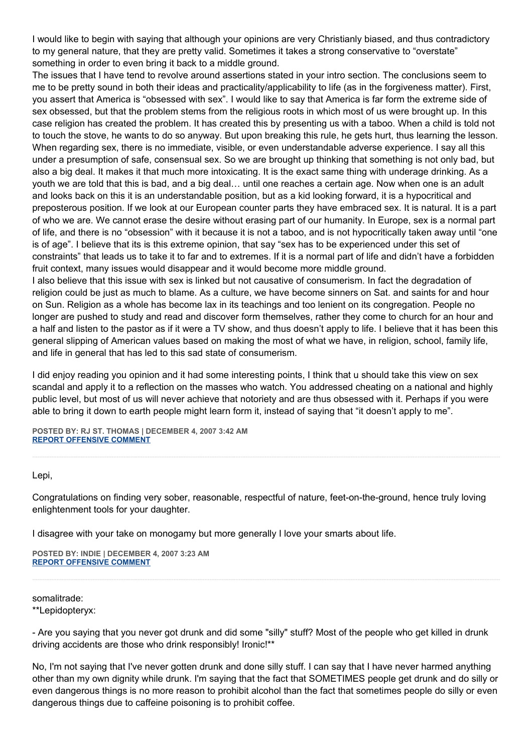I would like to begin with saying that although your opinions are very Christianly biased, and thus contradictory to my general nature, that they are pretty valid. Sometimes it takes a strong conservative to "overstate" something in order to even bring it back to a middle ground.

The issues that I have tend to revolve around assertions stated in your intro section. The conclusions seem to me to be pretty sound in both their ideas and practicality/applicability to life (as in the forgiveness matter). First, you assert that America is "obsessed with sex". I would like to say that America is far form the extreme side of sex obsessed, but that the problem stems from the religious roots in which most of us were brought up. In this case religion has created the problem. It has created this by presenting us with a taboo. When a child is told not to touch the stove, he wants to do so anyway. But upon breaking this rule, he gets hurt, thus learning the lesson. When regarding sex, there is no immediate, visible, or even understandable adverse experience. I say all this under a presumption of safe, consensual sex. So we are brought up thinking that something is not only bad, but also a big deal. It makes it that much more intoxicating. It is the exact same thing with underage drinking. As a youth we are told that this is bad, and a big deal… until one reaches a certain age. Now when one is an adult and looks back on this it is an understandable position, but as a kid looking forward, it is a hypocritical and preposterous position. If we look at our European counter parts they have embraced sex. It is natural. It is a part of who we are. We cannot erase the desire without erasing part of our humanity. In Europe, sex is a normal part of life, and there is no "obsession" with it because it is not a taboo, and is not hypocritically taken away until "one is of age". I believe that its is this extreme opinion, that say "sex has to be experienced under this set of constraints" that leads us to take it to far and to extremes. If it is a normal part of life and didn't have a forbidden fruit context, many issues would disappear and it would become more middle ground.

I also believe that this issue with sex is linked but not causative of consumerism. In fact the degradation of religion could be just as much to blame. As a culture, we have become sinners on Sat. and saints for and hour on Sun. Religion as a whole has become lax in its teachings and too lenient on its congregation. People no longer are pushed to study and read and discover form themselves, rather they come to church for an hour and a half and listen to the pastor as if it were a TV show, and thus doesn't apply to life. I believe that it has been this general slipping of American values based on making the most of what we have, in religion, school, family life, and life in general that has led to this sad state of consumerism.

I did enjoy reading you opinion and it had some interesting points, I think that u should take this view on sex scandal and apply it to a reflection on the masses who watch. You addressed cheating on a national and highly public level, but most of us will never achieve that notoriety and are thus obsessed with it. Perhaps if you were able to bring it down to earth people might learn form it, instead of saying that "it doesn't apply to me".

**POSTED BY: RJ ST. THOMAS | DECEMBER 4, 2007 3:42 AM [REPORT OFFENSIVE COMMENT](mailto:blogs@washingtonpost.com?subject=On%20Faith%20Panelists%20Blog%20%20%7C%20%20RJ%20St.%20Thomas%20%20%7C%20%20Irresponsible%20Lust,%20Responsible%20Sex%20%20%7C%20%201832088&body=%0D%0D%0D%0D%0D================%0D?__mode=view%26_type=comment%26id=1832088%26blog_id=618)**

Lepi,

Congratulations on finding very sober, reasonable, respectful of nature, feet-on-the-ground, hence truly loving enlightenment tools for your daughter.

I disagree with your take on monogamy but more generally I love your smarts about life.

**POSTED BY: INDIE | DECEMBER 4, 2007 3:23 AM [REPORT OFFENSIVE COMMENT](mailto:blogs@washingtonpost.com?subject=On%20Faith%20Panelists%20Blog%20%20%7C%20%20Indie%20%20%7C%20%20Irresponsible%20Lust,%20Responsible%20Sex%20%20%7C%20%201832008&body=%0D%0D%0D%0D%0D================%0D?__mode=view%26_type=comment%26id=1832008%26blog_id=618)**

somalitrade: \*\*Lepidopteryx:

- Are you saying that you never got drunk and did some "silly" stuff? Most of the people who get killed in drunk driving accidents are those who drink responsibly! Ironic!\*\*

No, I'm not saying that I've never gotten drunk and done silly stuff. I can say that I have never harmed anything other than my own dignity while drunk. I'm saying that the fact that SOMETIMES people get drunk and do silly or even dangerous things is no more reason to prohibit alcohol than the fact that sometimes people do silly or even dangerous things due to caffeine poisoning is to prohibit coffee.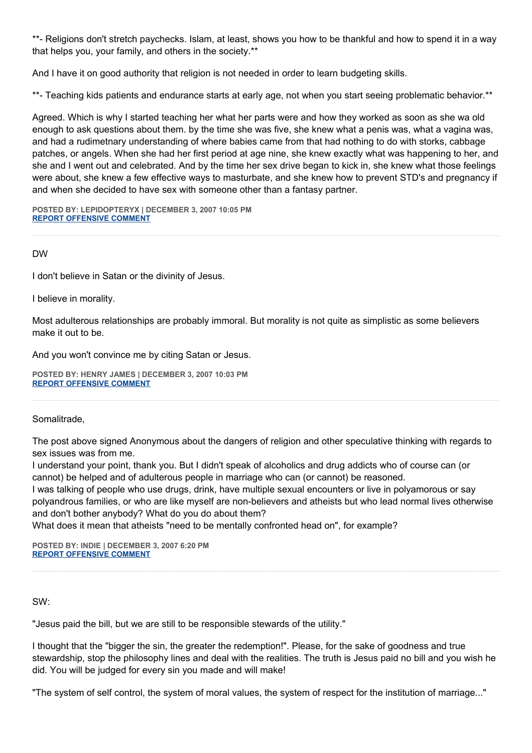\*\*- Religions don't stretch paychecks. Islam, at least, shows you how to be thankful and how to spend it in a way that helps you, your family, and others in the society.\*\*

And I have it on good authority that religion is not needed in order to learn budgeting skills.

\*\*- Teaching kids patients and endurance starts at early age, not when you start seeing problematic behavior.\*\*

Agreed. Which is why I started teaching her what her parts were and how they worked as soon as she wa old enough to ask questions about them. by the time she was five, she knew what a penis was, what a vagina was, and had a rudimetnary understanding of where babies came from that had nothing to do with storks, cabbage patches, or angels. When she had her first period at age nine, she knew exactly what was happening to her, and she and I went out and celebrated. And by the time her sex drive began to kick in, she knew what those feelings were about, she knew a few effective ways to masturbate, and she knew how to prevent STD's and pregnancy if and when she decided to have sex with someone other than a fantasy partner.

**POSTED BY: LEPIDOPTERYX | DECEMBER 3, 2007 10:05 PM [REPORT OFFENSIVE COMMENT](mailto:blogs@washingtonpost.com?subject=On%20Faith%20Panelists%20Blog%20%20%7C%20%20lepidopteryx%20%20%7C%20%20Irresponsible%20Lust,%20Responsible%20Sex%20%20%7C%20%201831011&body=%0D%0D%0D%0D%0D================%0D?__mode=view%26_type=comment%26id=1831011%26blog_id=618)**

DW

I don't believe in Satan or the divinity of Jesus.

I believe in morality.

Most adulterous relationships are probably immoral. But morality is not quite as simplistic as some believers make it out to be.

And you won't convince me by citing Satan or Jesus.

**POSTED BY: HENRY JAMES | DECEMBER 3, 2007 10:03 PM [REPORT OFFENSIVE COMMENT](mailto:blogs@washingtonpost.com?subject=On%20Faith%20Panelists%20Blog%20%20%7C%20%20Henry%20James%20%20%7C%20%20Irresponsible%20Lust,%20Responsible%20Sex%20%20%7C%20%201830985&body=%0D%0D%0D%0D%0D================%0D?__mode=view%26_type=comment%26id=1830985%26blog_id=618)**

Somalitrade,

The post above signed Anonymous about the dangers of religion and other speculative thinking with regards to sex issues was from me.

I understand your point, thank you. But I didn't speak of alcoholics and drug addicts who of course can (or cannot) be helped and of adulterous people in marriage who can (or cannot) be reasoned.

I was talking of people who use drugs, drink, have multiple sexual encounters or live in polyamorous or say polyandrous families, or who are like myself are non-believers and atheists but who lead normal lives otherwise and don't bother anybody? What do you do about them?

What does it mean that atheists "need to be mentally confronted head on", for example?

**POSTED BY: INDIE | DECEMBER 3, 2007 6:20 PM [REPORT OFFENSIVE COMMENT](mailto:blogs@washingtonpost.com?subject=On%20Faith%20Panelists%20Blog%20%20%7C%20%20Indie%20%20%7C%20%20Irresponsible%20Lust,%20Responsible%20Sex%20%20%7C%20%201830187&body=%0D%0D%0D%0D%0D================%0D?__mode=view%26_type=comment%26id=1830187%26blog_id=618)**

SW:

"Jesus paid the bill, but we are still to be responsible stewards of the utility."

I thought that the "bigger the sin, the greater the redemption!". Please, for the sake of goodness and true stewardship, stop the philosophy lines and deal with the realities. The truth is Jesus paid no bill and you wish he did. You will be judged for every sin you made and will make!

"The system of self control, the system of moral values, the system of respect for the institution of marriage..."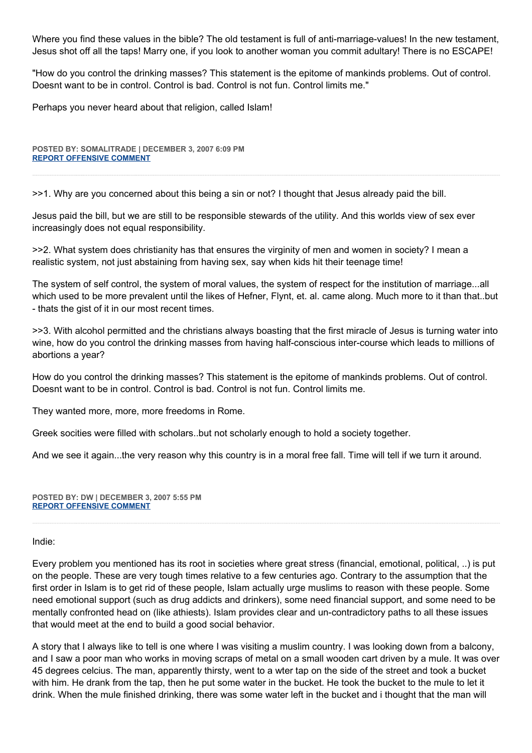Where you find these values in the bible? The old testament is full of anti-marriage-values! In the new testament, Jesus shot off all the taps! Marry one, if you look to another woman you commit adultary! There is no ESCAPE!

"How do you control the drinking masses? This statement is the epitome of mankinds problems. Out of control. Doesnt want to be in control. Control is bad. Control is not fun. Control limits me."

Perhaps you never heard about that religion, called Islam!

**POSTED BY: SOMALITRADE | DECEMBER 3, 2007 6:09 PM [REPORT OFFENSIVE COMMENT](mailto:blogs@washingtonpost.com?subject=On%20Faith%20Panelists%20Blog%20%20%7C%20%20somalitrade%20%20%7C%20%20Irresponsible%20Lust,%20Responsible%20Sex%20%20%7C%20%201830143&body=%0D%0D%0D%0D%0D================%0D?__mode=view%26_type=comment%26id=1830143%26blog_id=618)**

>>1. Why are you concerned about this being a sin or not? I thought that Jesus already paid the bill.

Jesus paid the bill, but we are still to be responsible stewards of the utility. And this worlds view of sex ever increasingly does not equal responsibility.

>>2. What system does christianity has that ensures the virginity of men and women in society? I mean a realistic system, not just abstaining from having sex, say when kids hit their teenage time!

The system of self control, the system of moral values, the system of respect for the institution of marriage...all which used to be more prevalent until the likes of Hefner, Flynt, et. al. came along. Much more to it than that..but - thats the gist of it in our most recent times.

>>3. With alcohol permitted and the christians always boasting that the first miracle of Jesus is turning water into wine, how do you control the drinking masses from having half-conscious inter-course which leads to millions of abortions a year?

How do you control the drinking masses? This statement is the epitome of mankinds problems. Out of control. Doesnt want to be in control. Control is bad. Control is not fun. Control limits me.

They wanted more, more, more freedoms in Rome.

Greek socities were filled with scholars..but not scholarly enough to hold a society together.

And we see it again...the very reason why this country is in a moral free fall. Time will tell if we turn it around.

**POSTED BY: DW | DECEMBER 3, 2007 5:55 PM [REPORT OFFENSIVE COMMENT](mailto:blogs@washingtonpost.com?subject=On%20Faith%20Panelists%20Blog%20%20%7C%20%20DW%20%20%7C%20%20Irresponsible%20Lust,%20Responsible%20Sex%20%20%7C%20%201830083&body=%0D%0D%0D%0D%0D================%0D?__mode=view%26_type=comment%26id=1830083%26blog_id=618)**

#### Indie:

Every problem you mentioned has its root in societies where great stress (financial, emotional, political, ..) is put on the people. These are very tough times relative to a few centuries ago. Contrary to the assumption that the first order in Islam is to get rid of these people, Islam actually urge muslims to reason with these people. Some need emotional support (such as drug addicts and drinkers), some need financial support, and some need to be mentally confronted head on (like athiests). Islam provides clear and un-contradictory paths to all these issues that would meet at the end to build a good social behavior.

A story that I always like to tell is one where I was visiting a muslim country. I was looking down from a balcony, and I saw a poor man who works in moving scraps of metal on a small wooden cart driven by a mule. It was over 45 degrees celcius. The man, apparently thirsty, went to a wter tap on the side of the street and took a bucket with him. He drank from the tap, then he put some water in the bucket. He took the bucket to the mule to let it drink. When the mule finished drinking, there was some water left in the bucket and i thought that the man will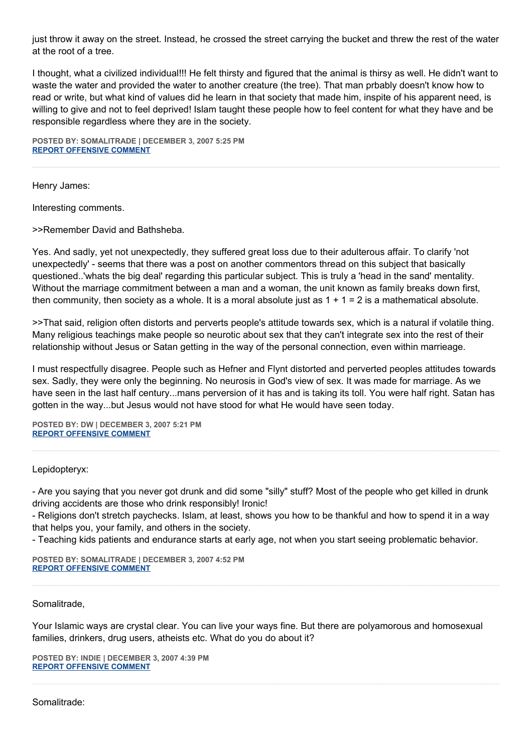just throw it away on the street. Instead, he crossed the street carrying the bucket and threw the rest of the water at the root of a tree.

I thought, what a civilized individual!!! He felt thirsty and figured that the animal is thirsy as well. He didn't want to waste the water and provided the water to another creature (the tree). That man prbably doesn't know how to read or write, but what kind of values did he learn in that society that made him, inspite of his apparent need, is willing to give and not to feel deprived! Islam taught these people how to feel content for what they have and be responsible regardless where they are in the society.

**POSTED BY: SOMALITRADE | DECEMBER 3, 2007 5:25 PM [REPORT OFFENSIVE COMMENT](mailto:blogs@washingtonpost.com?subject=On%20Faith%20Panelists%20Blog%20%20%7C%20%20somalitrade%20%20%7C%20%20Irresponsible%20Lust,%20Responsible%20Sex%20%20%7C%20%201829980&body=%0D%0D%0D%0D%0D================%0D?__mode=view%26_type=comment%26id=1829980%26blog_id=618)**

Henry James:

Interesting comments.

>>Remember David and Bathsheba.

Yes. And sadly, yet not unexpectedly, they suffered great loss due to their adulterous affair. To clarify 'not unexpectedly' - seems that there was a post on another commentors thread on this subject that basically questioned..'whats the big deal' regarding this particular subject. This is truly a 'head in the sand' mentality. Without the marriage commitment between a man and a woman, the unit known as family breaks down first, then community, then society as a whole. It is a moral absolute just as  $1 + 1 = 2$  is a mathematical absolute.

>>That said, religion often distorts and perverts people's attitude towards sex, which is a natural if volatile thing. Many religious teachings make people so neurotic about sex that they can't integrate sex into the rest of their relationship without Jesus or Satan getting in the way of the personal connection, even within marrieage.

I must respectfully disagree. People such as Hefner and Flynt distorted and perverted peoples attitudes towards sex. Sadly, they were only the beginning. No neurosis in God's view of sex. It was made for marriage. As we have seen in the last half century...mans perversion of it has and is taking its toll. You were half right. Satan has gotten in the way...but Jesus would not have stood for what He would have seen today.

**POSTED BY: DW | DECEMBER 3, 2007 5:21 PM [REPORT OFFENSIVE COMMENT](mailto:blogs@washingtonpost.com?subject=On%20Faith%20Panelists%20Blog%20%20%7C%20%20DW%20%20%7C%20%20Irresponsible%20Lust,%20Responsible%20Sex%20%20%7C%20%201829959&body=%0D%0D%0D%0D%0D================%0D?__mode=view%26_type=comment%26id=1829959%26blog_id=618)**

Lepidopteryx:

- Are you saying that you never got drunk and did some "silly" stuff? Most of the people who get killed in drunk driving accidents are those who drink responsibly! Ironic!

- Religions don't stretch paychecks. Islam, at least, shows you how to be thankful and how to spend it in a way that helps you, your family, and others in the society.

- Teaching kids patients and endurance starts at early age, not when you start seeing problematic behavior.

**POSTED BY: SOMALITRADE | DECEMBER 3, 2007 4:52 PM [REPORT OFFENSIVE COMMENT](mailto:blogs@washingtonpost.com?subject=On%20Faith%20Panelists%20Blog%20%20%7C%20%20somalitrade%20%20%7C%20%20Irresponsible%20Lust,%20Responsible%20Sex%20%20%7C%20%201829852&body=%0D%0D%0D%0D%0D================%0D?__mode=view%26_type=comment%26id=1829852%26blog_id=618)**

Somalitrade,

Your Islamic ways are crystal clear. You can live your ways fine. But there are polyamorous and homosexual families, drinkers, drug users, atheists etc. What do you do about it?

**POSTED BY: INDIE | DECEMBER 3, 2007 4:39 PM [REPORT OFFENSIVE COMMENT](mailto:blogs@washingtonpost.com?subject=On%20Faith%20Panelists%20Blog%20%20%7C%20%20Indie%20%20%7C%20%20Irresponsible%20Lust,%20Responsible%20Sex%20%20%7C%20%201829813&body=%0D%0D%0D%0D%0D================%0D?__mode=view%26_type=comment%26id=1829813%26blog_id=618)**

Somalitrade: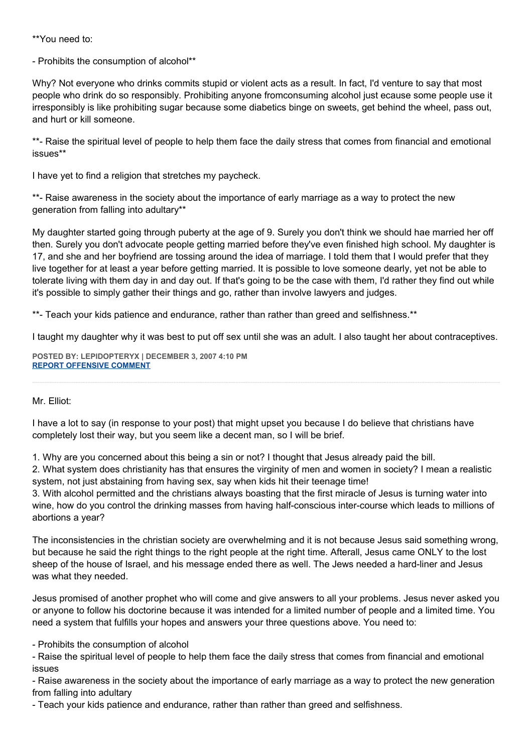\*\*You need to:

- Prohibits the consumption of alcohol\*\*

Why? Not everyone who drinks commits stupid or violent acts as a result. In fact, I'd venture to say that most people who drink do so responsibly. Prohibiting anyone fromconsuming alcohol just ecause some people use it irresponsibly is like prohibiting sugar because some diabetics binge on sweets, get behind the wheel, pass out, and hurt or kill someone.

\*\*- Raise the spiritual level of people to help them face the daily stress that comes from financial and emotional issues\*\*

I have yet to find a religion that stretches my paycheck.

\*\*- Raise awareness in the society about the importance of early marriage as a way to protect the new generation from falling into adultary\*\*

My daughter started going through puberty at the age of 9. Surely you don't think we should hae married her off then. Surely you don't advocate people getting married before they've even finished high school. My daughter is 17, and she and her boyfriend are tossing around the idea of marriage. I told them that I would prefer that they live together for at least a year before getting married. It is possible to love someone dearly, yet not be able to tolerate living with them day in and day out. If that's going to be the case with them, I'd rather they find out while it's possible to simply gather their things and go, rather than involve lawyers and judges.

\*\*- Teach your kids patience and endurance, rather than rather than greed and selfishness.\*\*

I taught my daughter why it was best to put off sex until she was an adult. I also taught her about contraceptives.

**POSTED BY: LEPIDOPTERYX | DECEMBER 3, 2007 4:10 PM [REPORT OFFENSIVE COMMENT](mailto:blogs@washingtonpost.com?subject=On%20Faith%20Panelists%20Blog%20%20%7C%20%20lepidopteryx%20%20%7C%20%20Irresponsible%20Lust,%20Responsible%20Sex%20%20%7C%20%201829726&body=%0D%0D%0D%0D%0D================%0D?__mode=view%26_type=comment%26id=1829726%26blog_id=618)**

# Mr. Elliot:

I have a lot to say (in response to your post) that might upset you because I do believe that christians have completely lost their way, but you seem like a decent man, so I will be brief.

1. Why are you concerned about this being a sin or not? I thought that Jesus already paid the bill.

2. What system does christianity has that ensures the virginity of men and women in society? I mean a realistic system, not just abstaining from having sex, say when kids hit their teenage time!

3. With alcohol permitted and the christians always boasting that the first miracle of Jesus is turning water into wine, how do you control the drinking masses from having half-conscious inter-course which leads to millions of abortions a year?

The inconsistencies in the christian society are overwhelming and it is not because Jesus said something wrong, but because he said the right things to the right people at the right time. Afterall, Jesus came ONLY to the lost sheep of the house of Israel, and his message ended there as well. The Jews needed a hard-liner and Jesus was what they needed.

Jesus promised of another prophet who will come and give answers to all your problems. Jesus never asked you or anyone to follow his doctorine because it was intended for a limited number of people and a limited time. You need a system that fulfills your hopes and answers your three questions above. You need to:

- Prohibits the consumption of alcohol

- Raise the spiritual level of people to help them face the daily stress that comes from financial and emotional issues

- Raise awareness in the society about the importance of early marriage as a way to protect the new generation from falling into adultary

- Teach your kids patience and endurance, rather than rather than greed and selfishness.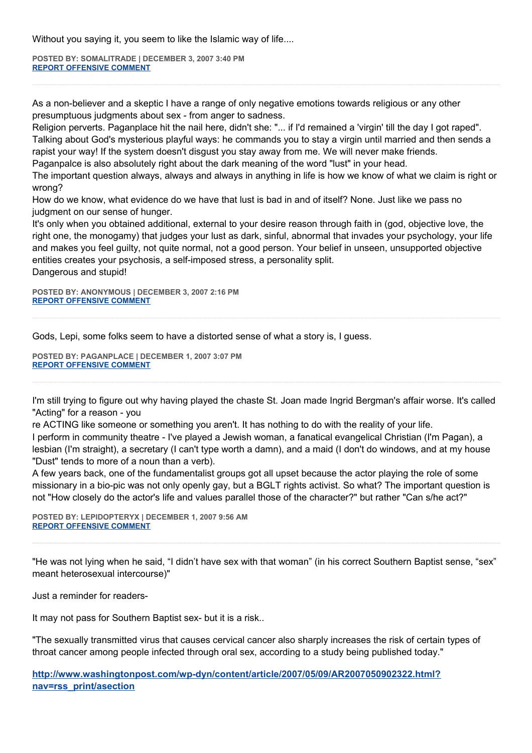Without you saying it, you seem to like the Islamic way of life....

**POSTED BY: SOMALITRADE | DECEMBER 3, 2007 3:40 PM [REPORT OFFENSIVE COMMENT](mailto:blogs@washingtonpost.com?subject=On%20Faith%20Panelists%20Blog%20%20%7C%20%20somalitrade%20%20%7C%20%20Irresponsible%20Lust,%20Responsible%20Sex%20%20%7C%20%201829569&body=%0D%0D%0D%0D%0D================%0D?__mode=view%26_type=comment%26id=1829569%26blog_id=618)**

As a non-believer and a skeptic I have a range of only negative emotions towards religious or any other presumptuous judgments about sex - from anger to sadness.

Religion perverts. Paganplace hit the nail here, didn't she: "... if I'd remained a 'virgin' till the day I got raped". Talking about God's mysterious playful ways: he commands you to stay a virgin until married and then sends a rapist your way! If the system doesn't disgust you stay away from me. We will never make friends.

Paganpalce is also absolutely right about the dark meaning of the word "lust" in your head.

The important question always, always and always in anything in life is how we know of what we claim is right or wrong?

How do we know, what evidence do we have that lust is bad in and of itself? None. Just like we pass no judgment on our sense of hunger.

It's only when you obtained additional, external to your desire reason through faith in (god, objective love, the right one, the monogamy) that judges your lust as dark, sinful, abnormal that invades your psychology, your life and makes you feel guilty, not quite normal, not a good person. Your belief in unseen, unsupported objective entities creates your psychosis, a self-imposed stress, a personality split. Dangerous and stupid!

**POSTED BY: ANONYMOUS | DECEMBER 3, 2007 2:16 PM [REPORT OFFENSIVE COMMENT](mailto:blogs@washingtonpost.com?subject=On%20Faith%20Panelists%20Blog%20%20%7C%20%20Anonymous%20%20%7C%20%20Irresponsible%20Lust,%20Responsible%20Sex%20%20%7C%20%201829266&body=%0D%0D%0D%0D%0D================%0D?__mode=view%26_type=comment%26id=1829266%26blog_id=618)**

Gods, Lepi, some folks seem to have a distorted sense of what a story is, I guess.

**POSTED BY: PAGANPLACE | DECEMBER 1, 2007 3:07 PM [REPORT OFFENSIVE COMMENT](mailto:blogs@washingtonpost.com?subject=On%20Faith%20Panelists%20Blog%20%20%7C%20%20Paganplace%20%20%7C%20%20Irresponsible%20Lust,%20Responsible%20Sex%20%20%7C%20%201817508&body=%0D%0D%0D%0D%0D================%0D?__mode=view%26_type=comment%26id=1817508%26blog_id=618)**

I'm still trying to figure out why having played the chaste St. Joan made Ingrid Bergman's affair worse. It's called "Acting" for a reason - you

re ACTING like someone or something you aren't. It has nothing to do with the reality of your life. I perform in community theatre - I've played a Jewish woman, a fanatical evangelical Christian (I'm Pagan), a lesbian (I'm straight), a secretary (I can't type worth a damn), and a maid (I don't do windows, and at my house "Dust" tends to more of a noun than a verb).

A few years back, one of the fundamentalist groups got all upset because the actor playing the role of some missionary in a bio-pic was not only openly gay, but a BGLT rights activist. So what? The important question is not "How closely do the actor's life and values parallel those of the character?" but rather "Can s/he act?"

**POSTED BY: LEPIDOPTERYX | DECEMBER 1, 2007 9:56 AM [REPORT OFFENSIVE COMMENT](mailto:blogs@washingtonpost.com?subject=On%20Faith%20Panelists%20Blog%20%20%7C%20%20lepidopteryx%20%20%7C%20%20Irresponsible%20Lust,%20Responsible%20Sex%20%20%7C%20%201816335&body=%0D%0D%0D%0D%0D================%0D?__mode=view%26_type=comment%26id=1816335%26blog_id=618)**

"He was not lying when he said, "I didn't have sex with that woman" (in his correct Southern Baptist sense, "sex" meant heterosexual intercourse)"

Just a reminder for readers-

It may not pass for Southern Baptist sex- but it is a risk..

"The sexually transmitted virus that causes cervical cancer also sharply increases the risk of certain types of throat cancer among people infected through oral sex, according to a study being published today."

**[http://www.washingtonpost.com/wp-dyn/content/article/2007/05/09/AR2007050902322.html?](http://www.washingtonpost.com/wp-dyn/content/article/2007/05/09/AR2007050902322.html?nav=rss_print/asection) [nav=rss\\_print/asection](http://www.washingtonpost.com/wp-dyn/content/article/2007/05/09/AR2007050902322.html?nav=rss_print/asection)**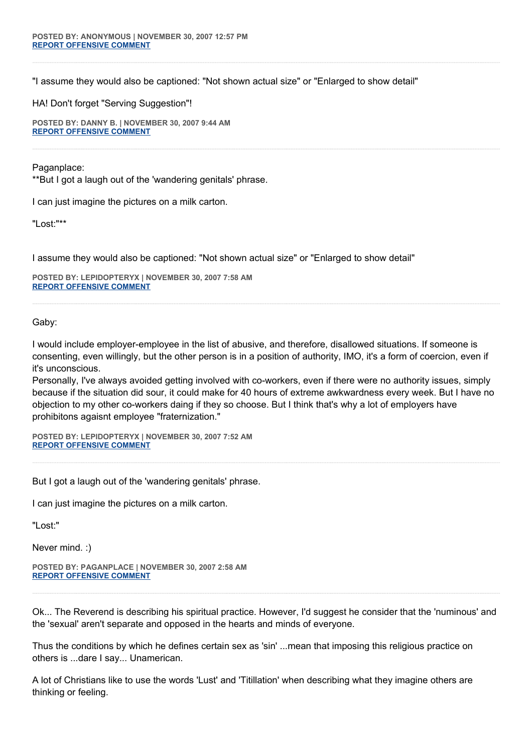"I assume they would also be captioned: "Not shown actual size" or "Enlarged to show detail"

HA! Don't forget "Serving Suggestion"!

**POSTED BY: DANNY B. | NOVEMBER 30, 2007 9:44 AM [REPORT OFFENSIVE COMMENT](mailto:blogs@washingtonpost.com?subject=On%20Faith%20Panelists%20Blog%20%20%7C%20%20Danny%20B.%20%20%7C%20%20Irresponsible%20Lust,%20Responsible%20Sex%20%20%7C%20%201810027&body=%0D%0D%0D%0D%0D================%0D?__mode=view%26_type=comment%26id=1810027%26blog_id=618)**

Paganplace:

\*\*But I got a laugh out of the 'wandering genitals' phrase.

I can just imagine the pictures on a milk carton.

"Lost:"\*\*

I assume they would also be captioned: "Not shown actual size" or "Enlarged to show detail"

**POSTED BY: LEPIDOPTERYX | NOVEMBER 30, 2007 7:58 AM [REPORT OFFENSIVE COMMENT](mailto:blogs@washingtonpost.com?subject=On%20Faith%20Panelists%20Blog%20%20%7C%20%20lepidopteryx%20%20%7C%20%20Irresponsible%20Lust,%20Responsible%20Sex%20%20%7C%20%201809469&body=%0D%0D%0D%0D%0D================%0D?__mode=view%26_type=comment%26id=1809469%26blog_id=618)**

Gaby:

I would include employer-employee in the list of abusive, and therefore, disallowed situations. If someone is consenting, even willingly, but the other person is in a position of authority, IMO, it's a form of coercion, even if it's unconscious.

Personally, I've always avoided getting involved with co-workers, even if there were no authority issues, simply because if the situation did sour, it could make for 40 hours of extreme awkwardness every week. But I have no objection to my other co-workers daing if they so choose. But I think that's why a lot of employers have prohibitons agaisnt employee "fraternization."

**POSTED BY: LEPIDOPTERYX | NOVEMBER 30, 2007 7:52 AM [REPORT OFFENSIVE COMMENT](mailto:blogs@washingtonpost.com?subject=On%20Faith%20Panelists%20Blog%20%20%7C%20%20lepidopteryx%20%20%7C%20%20Irresponsible%20Lust,%20Responsible%20Sex%20%20%7C%20%201809443&body=%0D%0D%0D%0D%0D================%0D?__mode=view%26_type=comment%26id=1809443%26blog_id=618)**

But I got a laugh out of the 'wandering genitals' phrase.

I can just imagine the pictures on a milk carton.

"Lost:"

Never mind. :)

**POSTED BY: PAGANPLACE | NOVEMBER 30, 2007 2:58 AM [REPORT OFFENSIVE COMMENT](mailto:blogs@washingtonpost.com?subject=On%20Faith%20Panelists%20Blog%20%20%7C%20%20Paganplace%20%20%7C%20%20Irresponsible%20Lust,%20Responsible%20Sex%20%20%7C%20%201807829&body=%0D%0D%0D%0D%0D================%0D?__mode=view%26_type=comment%26id=1807829%26blog_id=618)**

Ok... The Reverend is describing his spiritual practice. However, I'd suggest he consider that the 'numinous' and the 'sexual' aren't separate and opposed in the hearts and minds of everyone.

Thus the conditions by which he defines certain sex as 'sin' ...mean that imposing this religious practice on others is ...dare I say... Unamerican.

A lot of Christians like to use the words 'Lust' and 'Titillation' when describing what they imagine others are thinking or feeling.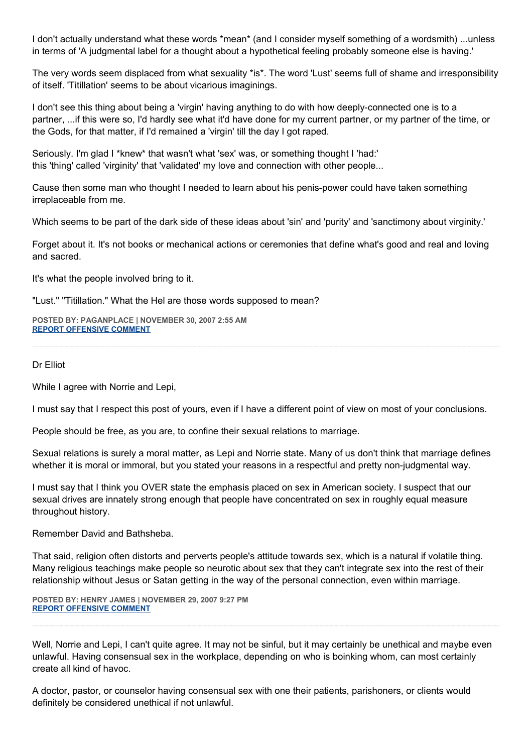I don't actually understand what these words \*mean\* (and I consider myself something of a wordsmith) ...unless in terms of 'A judgmental label for a thought about a hypothetical feeling probably someone else is having.'

The very words seem displaced from what sexuality \*is\*. The word 'Lust' seems full of shame and irresponsibility of itself. 'Titillation' seems to be about vicarious imaginings.

I don't see this thing about being a 'virgin' having anything to do with how deeply-connected one is to a partner, ...if this were so, I'd hardly see what it'd have done for my current partner, or my partner of the time, or the Gods, for that matter, if I'd remained a 'virgin' till the day I got raped.

Seriously. I'm glad I \*knew\* that wasn't what 'sex' was, or something thought I 'had:' this 'thing' called 'virginity' that 'validated' my love and connection with other people...

Cause then some man who thought I needed to learn about his penis-power could have taken something irreplaceable from me.

Which seems to be part of the dark side of these ideas about 'sin' and 'purity' and 'sanctimony about virginity.'

Forget about it. It's not books or mechanical actions or ceremonies that define what's good and real and loving and sacred.

It's what the people involved bring to it.

"Lust." "Titillation." What the Hel are those words supposed to mean?

**POSTED BY: PAGANPLACE | NOVEMBER 30, 2007 2:55 AM [REPORT OFFENSIVE COMMENT](mailto:blogs@washingtonpost.com?subject=On%20Faith%20Panelists%20Blog%20%20%7C%20%20Paganplace%20%20%7C%20%20Irresponsible%20Lust,%20Responsible%20Sex%20%20%7C%20%201807817&body=%0D%0D%0D%0D%0D================%0D?__mode=view%26_type=comment%26id=1807817%26blog_id=618)**

Dr Elliot

While I agree with Norrie and Lepi,

I must say that I respect this post of yours, even if I have a different point of view on most of your conclusions.

People should be free, as you are, to confine their sexual relations to marriage.

Sexual relations is surely a moral matter, as Lepi and Norrie state. Many of us don't think that marriage defines whether it is moral or immoral, but you stated your reasons in a respectful and pretty non-judgmental way.

I must say that I think you OVER state the emphasis placed on sex in American society. I suspect that our sexual drives are innately strong enough that people have concentrated on sex in roughly equal measure throughout history.

Remember David and Bathsheba.

That said, religion often distorts and perverts people's attitude towards sex, which is a natural if volatile thing. Many religious teachings make people so neurotic about sex that they can't integrate sex into the rest of their relationship without Jesus or Satan getting in the way of the personal connection, even within marriage.

**POSTED BY: HENRY JAMES | NOVEMBER 29, 2007 9:27 PM [REPORT OFFENSIVE COMMENT](mailto:blogs@washingtonpost.com?subject=On%20Faith%20Panelists%20Blog%20%20%7C%20%20Henry%20James%20%20%7C%20%20Irresponsible%20Lust,%20Responsible%20Sex%20%20%7C%20%201806102&body=%0D%0D%0D%0D%0D================%0D?__mode=view%26_type=comment%26id=1806102%26blog_id=618)**

Well, Norrie and Lepi, I can't quite agree. It may not be sinful, but it may certainly be unethical and maybe even unlawful. Having consensual sex in the workplace, depending on who is boinking whom, can most certainly create all kind of havoc.

A doctor, pastor, or counselor having consensual sex with one their patients, parishoners, or clients would definitely be considered unethical if not unlawful.